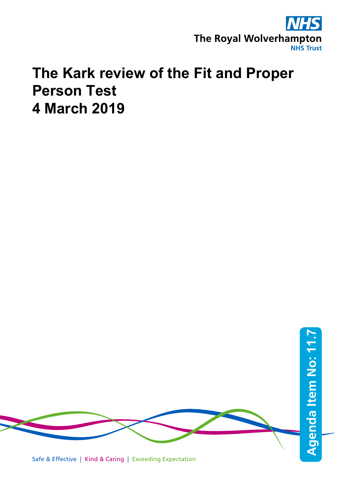

# **The Kark review of the Fit and Proper Person Test 4 March 2019**

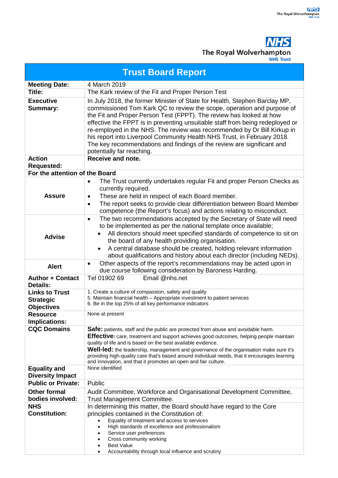

|                                                                | <b>NHS Trust</b>                                                                                                                                                                                                                                                                                                                                                                                                                                                                                                                                                          |
|----------------------------------------------------------------|---------------------------------------------------------------------------------------------------------------------------------------------------------------------------------------------------------------------------------------------------------------------------------------------------------------------------------------------------------------------------------------------------------------------------------------------------------------------------------------------------------------------------------------------------------------------------|
| <b>Trust Board Report</b>                                      |                                                                                                                                                                                                                                                                                                                                                                                                                                                                                                                                                                           |
| <b>Meeting Date:</b>                                           | 4 March 2019                                                                                                                                                                                                                                                                                                                                                                                                                                                                                                                                                              |
| Title:                                                         | The Kark review of the Fit and Proper Person Test                                                                                                                                                                                                                                                                                                                                                                                                                                                                                                                         |
| <b>Executive</b><br><b>Summary:</b>                            | In July 2018, the former Minister of State for Health, Stephen Barclay MP,<br>commissioned Tom Kark QC to review the scope, operation and purpose of<br>the Fit and Proper Person Test (FPPT). The review has looked at how<br>effective the FPPT is in preventing unsuitable staff from being redeployed or<br>re-employed in the NHS. The review was recommended by Dr Bill Kirkup in<br>his report into Liverpool Community Health NHS Trust, in February 2018.<br>The key recommendations and findings of the review are significant and<br>potentially far reaching. |
| <b>Action</b>                                                  | Receive and note.                                                                                                                                                                                                                                                                                                                                                                                                                                                                                                                                                         |
| <b>Requested:</b>                                              |                                                                                                                                                                                                                                                                                                                                                                                                                                                                                                                                                                           |
| For the attention of the Board                                 |                                                                                                                                                                                                                                                                                                                                                                                                                                                                                                                                                                           |
| <b>Assure</b>                                                  | The Trust currently undertakes regular Fit and proper Person Checks as<br>$\bullet$<br>currently required.<br>These are held in respect of each Board member.<br>$\bullet$<br>The report seeks to provide clear differentiation between Board Member<br>$\bullet$<br>competence (the Report's focus) and actions relating to misconduct.                                                                                                                                                                                                                                  |
| <b>Advise</b>                                                  | The two recommendations accepted by the Secretary of State will need<br>$\bullet$<br>to be implemented as per the national template once available;<br>All directors should meet specified standards of competence to sit on<br>the board of any health providing organisation.<br>A central database should be created, holding relevant information<br>about qualifications and history about each director (including NEDs).                                                                                                                                           |
| <b>Alert</b>                                                   | Other aspects of the report's recommendations may be acted upon in<br>due course following consideration by Baroness Harding.                                                                                                                                                                                                                                                                                                                                                                                                                                             |
| <b>Author + Contact</b><br><b>Details:</b>                     | Tel 01902 69<br>Email @nhs.net                                                                                                                                                                                                                                                                                                                                                                                                                                                                                                                                            |
| <b>Links to Trust</b><br><b>Strategic</b><br><b>Objectives</b> | 1. Create a culture of compassion, safety and quality<br>5. Maintain financial health - Appropriate investment to patient services<br>6. Be in the top 25% of all key performance indicators                                                                                                                                                                                                                                                                                                                                                                              |
| <b>Resource</b><br>Implications:                               | None at present                                                                                                                                                                                                                                                                                                                                                                                                                                                                                                                                                           |
| <b>CQC Domains</b>                                             | Safe: patients, staff and the public are protected from abuse and avoidable harm.<br><b>Effective:</b> care, treatment and support achieves good outcomes, helping people maintain<br>quality of life and is based on the best available evidence.<br><b>Well-led:</b> the leadership, management and governance of the organisation make sure it's<br>providing high-quality care that's based around individual needs, that it encourages learning<br>and innovation, and that it promotes an open and fair culture.                                                    |
| <b>Equality and</b>                                            | None identified                                                                                                                                                                                                                                                                                                                                                                                                                                                                                                                                                           |
| <b>Diversity Impact</b>                                        |                                                                                                                                                                                                                                                                                                                                                                                                                                                                                                                                                                           |
| <b>Public or Private:</b>                                      | Public                                                                                                                                                                                                                                                                                                                                                                                                                                                                                                                                                                    |
| <b>Other formal</b>                                            | Audit Committee, Workforce and Organisational Development Committee,                                                                                                                                                                                                                                                                                                                                                                                                                                                                                                      |
| bodies involved:                                               | Trust Management Committee.                                                                                                                                                                                                                                                                                                                                                                                                                                                                                                                                               |
| <b>NHS</b><br><b>Constitution:</b>                             | In determining this matter, the Board should have regard to the Core<br>principles contained in the Constitution of:<br>Equality of treatment and access to services<br>$\bullet$<br>High standards of excellence and professionalism<br>$\bullet$<br>Service user preferences<br>٠<br>Cross community working<br><b>Best Value</b><br>$\bullet$<br>Accountability through local influence and scrutiny<br>$\bullet$                                                                                                                                                      |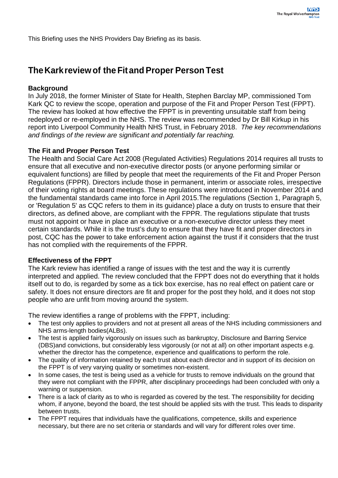This Briefing uses the NHS Providers Day Briefing as its basis.

## **TheKarkreviewof theFitand Proper Person Test**

### **Background**

In July 2018, the former Minister of State for Health, Stephen Barclay MP, commissioned Tom Kark QC to review the scope, operation and purpose of the Fit and Proper Person Test (FPPT). The review has looked at how effective the FPPT is in preventing unsuitable staff from being redeployed or re-employed in the NHS. The review was recommended by Dr Bill Kirkup in his report into Liverpool Community Health NHS Trust, in February 2018. *The key recommendations and findings of the review are significant and potentially far reaching.* 

#### **The Fit and Proper Person Test**

The Health and Social Care Act 2008 (Regulated Activities) Regulations 2014 requires all trusts to ensure that all executive and non-executive director posts (or anyone performing similar or equivalent functions) are filled by people that meet the requirements of the Fit and Proper Person Regulations (FPPR). Directors include those in permanent, interim or associate roles, irrespective of their voting rights at board meetings. These regulations were introduced in November 2014 and the fundamental standards came into force in April 2015.The regulations (Section 1, Paragraph 5, or 'Regulation 5' as CQC refers to them in its guidance) place a duty on trusts to ensure that their directors, as defined above, are compliant with the FPPR. The regulations stipulate that trusts must not appoint or have in place an executive or a non-executive director unless they meet certain standards. While it is the trust's duty to ensure that they have fit and proper directors in post, CQC has the power to take enforcement action against the trust if it considers that the trust has not complied with the requirements of the FPPR.

#### **Effectiveness of the FPPT**

The Kark review has identified a range of issues with the test and the way it is currently interpreted and applied. The review concluded that the FPPT does not do everything that it holds itself out to do, is regarded by some as a tick box exercise, has no real effect on patient care or safety. It does not ensure directors are fit and proper for the post they hold, and it does not stop people who are unfit from moving around the system.

The review identifies a range of problems with the FPPT, including:

- The test only applies to providers and not at present all areas of the NHS including commissioners and NHS arms-length bodies(ALBs).
- The test is applied fairly vigorously on issues such as bankruptcy, Disclosure and Barring Service (DBS)and convictions, but considerably less vigorously (or not at all) on other important aspects e.g. whether the director has the competence, experience and qualifications to perform the role.
- The quality of information retained by each trust about each director and in support of its decision on the FPPT is of very varying quality or sometimes non-existent.
- In some cases, the test is being used as a vehicle for trusts to remove individuals on the ground that they were not compliant with the FPPR, after disciplinary proceedings had been concluded with only a warning or suspension.
- There is a lack of clarity as to who is regarded as covered by the test. The responsibility for deciding whom, if anyone, beyond the board, the test should be applied sits with the trust. This leads to disparity between trusts.
- The FPPT requires that individuals have the qualifications, competence, skills and experience necessary, but there are no set criteria or standards and will vary for different roles over time.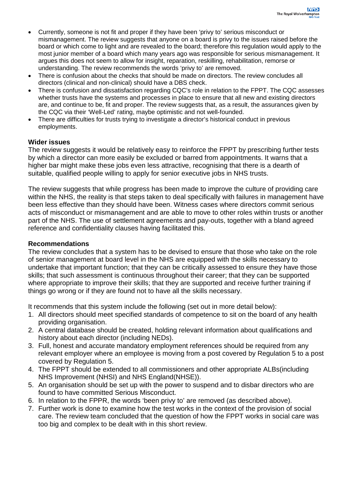- Currently, someone is not fit and proper if they have been 'privy to' serious misconduct or mismanagement. The review suggests that anyone on a board is privy to the issues raised before the board or which come to light and are revealed to the board; therefore this regulation would apply to the most junior member of a board which many years ago was responsible for serious mismanagement. It argues this does not seem to allow for insight, reparation, reskilling, rehabilitation, remorse or understanding. The review recommends the words 'privy to' are removed.
- There is confusion about the checks that should be made on directors. The review concludes all directors (clinical and non-clinical) should have a DBS check.
- There is confusion and dissatisfaction regarding CQC's role in relation to the FPPT. The CQC assesses whether trusts have the systems and processes in place to ensure that all new and existing directors are, and continue to be, fit and proper. The review suggests that, as a result, the assurances given by the CQC via their 'Well-Led' rating, maybe optimistic and not well-founded.
- There are difficulties for trusts trying to investigate a director's historical conduct in previous employments.

### **Wider issues**

The review suggests it would be relatively easy to reinforce the FPPT by prescribing further tests by which a director can more easily be excluded or barred from appointments. It warns that a higher bar might make these jobs even less attractive, recognising that there is a dearth of suitable, qualified people willing to apply for senior executive jobs in NHS trusts.

The review suggests that while progress has been made to improve the culture of providing care within the NHS, the reality is that steps taken to deal specifically with failures in management have been less effective than they should have been. Witness cases where directors commit serious acts of misconduct or mismanagement and are able to move to other roles within trusts or another part of the NHS. The use of settlement agreements and pay-outs, together with a bland agreed reference and confidentiality clauses having facilitated this.

#### **Recommendations**

The review concludes that a system has to be devised to ensure that those who take on the role of senior management at board level in the NHS are equipped with the skills necessary to undertake that important function; that they can be critically assessed to ensure they have those skills; that such assessment is continuous throughout their career; that they can be supported where appropriate to improve their skills; that they are supported and receive further training if things go wrong or if they are found not to have all the skills necessary.

It recommends that this system include the following (set out in more detail below):

- 1. All directors should meet specified standards of competence to sit on the board of any health providing organisation.
- 2. A central database should be created, holding relevant information about qualifications and history about each director (including NEDs).
- 3. Full, honest and accurate mandatory employment references should be required from any relevant employer where an employee is moving from a post covered by Regulation 5 to a post covered by Regulation 5.
- 4. The FPPT should be extended to all commissioners and other appropriate ALBs(including NHS Improvement (NHSI) and NHS England(NHSE)).
- 5. An organisation should be set up with the power to suspend and to disbar directors who are found to have committed Serious Misconduct.
- 6. In relation to the FPPR, the words 'been privy to' are removed (as described above).
- 7. Further work is done to examine how the test works in the context of the provision of social care. The review team concluded that the question of how the FPPT works in social care was too big and complex to be dealt with in this short review.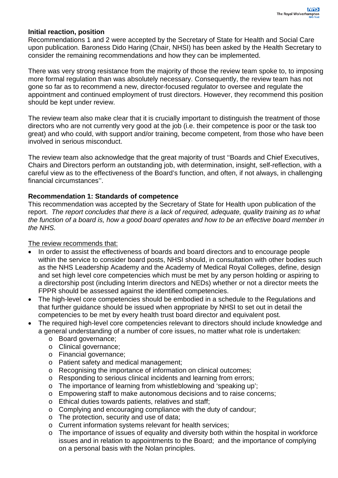#### **Initial reaction, position**

Recommendations 1 and 2 were accepted by the Secretary of State for Health and Social Care upon publication. Baroness Dido Haring (Chair, NHSI) has been asked by the Health Secretary to consider the remaining recommendations and how they can be implemented.

There was very strong resistance from the majority of those the review team spoke to, to imposing more formal regulation than was absolutely necessary. Consequently, the review team has not gone so far as to recommend a new, director-focused regulator to oversee and regulate the appointment and continued employment of trust directors. However, they recommend this position should be kept under review.

The review team also make clear that it is crucially important to distinguish the treatment of those directors who are not currently very good at the job (i.e. their competence is poor or the task too great) and who could, with support and/or training, become competent, from those who have been involved in serious misconduct.

The review team also acknowledge that the great majority of trust ''Boards and Chief Executives, Chairs and Directors perform an outstanding job, with determination, insight, self-reflection, with a careful view as to the effectiveness of the Board's function, and often, if not always, in challenging financial circumstances''.

#### **Recommendation 1: Standards of competence**

This recommendation was accepted by the Secretary of State for Health upon publication of the report. *The report concludes that there is a lack of required, adequate, quality training as to what the function of a board is, how a good board operates and how to be an effective board member in the NHS.*

#### The review recommends that:

- In order to assist the effectiveness of boards and board directors and to encourage people within the service to consider board posts, NHSI should, in consultation with other bodies such as the NHS Leadership Academy and the Academy of Medical Royal Colleges, define, design and set high level core competencies which must be met by any person holding or aspiring to a directorship post (including Interim directors and NEDs) whether or not a director meets the FPPR should be assessed against the identified competencies.
- The high-level core competencies should be embodied in a schedule to the Regulations and that further guidance should be issued when appropriate by NHSI to set out in detail the competencies to be met by every health trust board director and equivalent post.
- The required high-level core competencies relevant to directors should include knowledge and a general understanding of a number of core issues, no matter what role is undertaken:
	- o Board governance;
	- o Clinical governance;
	- o Financial governance;
	- o Patient safety and medical management;
	- o Recognising the importance of information on clinical outcomes;
	- o Responding to serious clinical incidents and learning from errors;
	- o The importance of learning from whistleblowing and 'speaking up';
	- o Empowering staff to make autonomous decisions and to raise concerns;
	- o Ethical duties towards patients, relatives and staff;
	- o Complying and encouraging compliance with the duty of candour;
	- o The protection, security and use of data;
	- o Current information systems relevant for health services;
	- o The importance of issues of equality and diversity both within the hospital in workforce issues and in relation to appointments to the Board; and the importance of complying on a personal basis with the Nolan principles.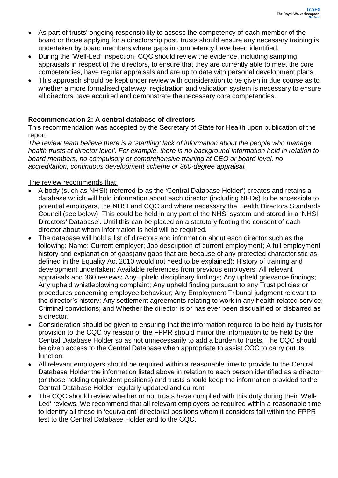- As part of trusts' ongoing responsibility to assess the competency of each member of the board or those applying for a directorship post, trusts should ensure any necessary training is undertaken by board members where gaps in competency have been identified.
- During the 'Well-Led' inspection, CQC should review the evidence, including sampling appraisals in respect of the directors, to ensure that they are currently able to meet the core competencies, have regular appraisals and are up to date with personal development plans.
- This approach should be kept under review with consideration to be given in due course as to whether a more formalised gateway, registration and validation system is necessary to ensure all directors have acquired and demonstrate the necessary core competencies.

### **Recommendation 2: A central database of directors**

This recommendation was accepted by the Secretary of State for Health upon publication of the report.

*The review team believe there is a 'startling' lack of information about the people who manage health trusts at director level'. For example, there is no background information held in relation to board members, no compulsory or comprehensive training at CEO or board level, no accreditation, continuous development scheme or 360-degree appraisal.*

### The review recommends that:

- A body (such as NHSI) (referred to as the 'Central Database Holder') creates and retains a database which will hold information about each director (including NEDs) to be accessible to potential employers, the NHSI and CQC and where necessary the Health Directors Standards Council (see below). This could be held in any part of the NHSI system and stored in a 'NHSI Directors' Database'. Until this can be placed on a statutory footing the consent of each director about whom information is held will be required.
- The database will hold a list of directors and information about each director such as the following: Name; Current employer; Job description of current employment; A full employment history and explanation of gaps(any gaps that are because of any protected characteristic as defined in the Equality Act 2010 would not need to be explained); History of training and development undertaken; Available references from previous employers; All relevant appraisals and 360 reviews; Any upheld disciplinary findings; Any upheld grievance findings; Any upheld whistleblowing complaint; Any upheld finding pursuant to any Trust policies or procedures concerning employee behaviour; Any Employment Tribunal judgment relevant to the director's history; Any settlement agreements relating to work in any health-related service; Criminal convictions; and Whether the director is or has ever been disqualified or disbarred as a director.
- Consideration should be given to ensuring that the information required to be held by trusts for provision to the CQC by reason of the FPPR should mirror the information to be held by the Central Database Holder so as not unnecessarily to add a burden to trusts. The CQC should be given access to the Central Database when appropriate to assist CQC to carry out its function.
- All relevant employers should be required within a reasonable time to provide to the Central Database Holder the information listed above in relation to each person identified as a director (or those holding equivalent positions) and trusts should keep the information provided to the Central Database Holder regularly updated and current
- The CQC should review whether or not trusts have complied with this duty during their 'Well-Led' reviews. We recommend that all relevant employers be required within a reasonable time to identify all those in 'equivalent' directorial positions whom it considers fall within the FPPR test to the Central Database Holder and to the CQC.